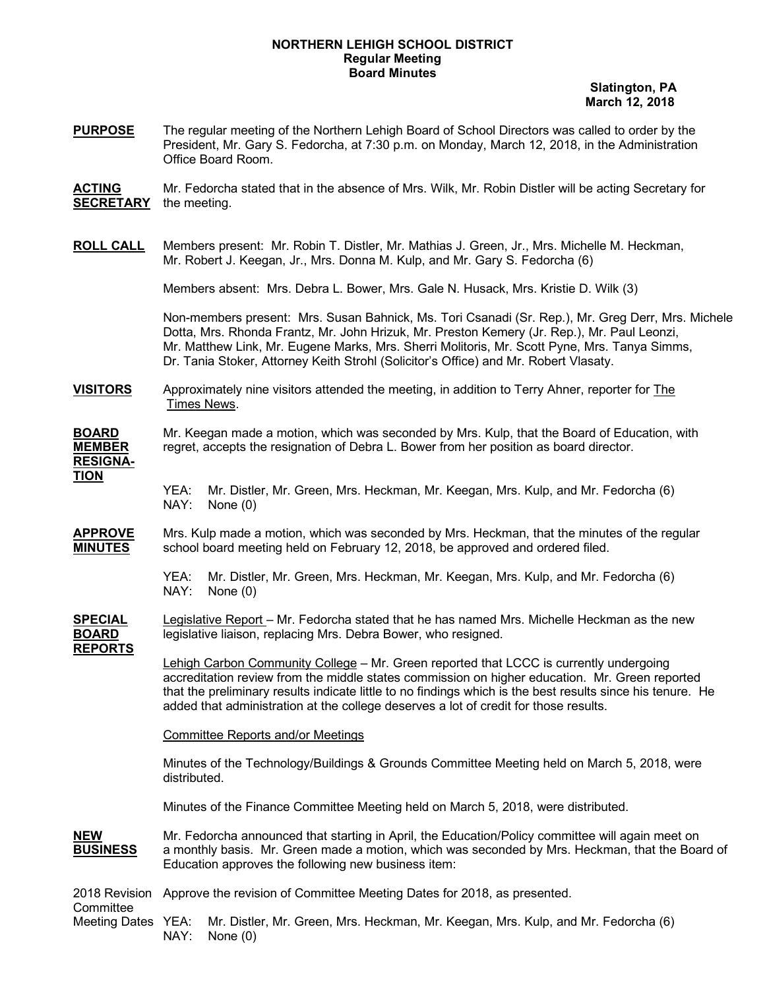## **NORTHERN LEHIGH SCHOOL DISTRICT Regular Meeting Board Minutes**

 **Slatington, PA March 12, 2018**

**PURPOSE** The regular meeting of the Northern Lehigh Board of School Directors was called to order by the President, Mr. Gary S. Fedorcha, at 7:30 p.m. on Monday, March 12, 2018, in the Administration Office Board Room.

**ACTING** Mr. Fedorcha stated that in the absence of Mrs. Wilk, Mr. Robin Distler will be acting Secretary for **SECRETARY** the meeting.

**ROLL CALL** Members present: Mr. Robin T. Distler, Mr. Mathias J. Green, Jr., Mrs. Michelle M. Heckman, Mr. Robert J. Keegan, Jr., Mrs. Donna M. Kulp, and Mr. Gary S. Fedorcha (6)

Members absent: Mrs. Debra L. Bower, Mrs. Gale N. Husack, Mrs. Kristie D. Wilk (3)

Non-members present: Mrs. Susan Bahnick, Ms. Tori Csanadi (Sr. Rep.), Mr. Greg Derr, Mrs. Michele Dotta, Mrs. Rhonda Frantz, Mr. John Hrizuk, Mr. Preston Kemery (Jr. Rep.), Mr. Paul Leonzi, Mr. Matthew Link, Mr. Eugene Marks, Mrs. Sherri Molitoris, Mr. Scott Pyne, Mrs. Tanya Simms, Dr. Tania Stoker, Attorney Keith Strohl (Solicitor's Office) and Mr. Robert Vlasaty.

**VISITORS** Approximately nine visitors attended the meeting, in addition to Terry Ahner, reporter for The Times News.

#### **BOARD** Mr. Keegan made a motion, which was seconded by Mrs. Kulp, that the Board of Education, with **MEMBER** regret, accepts the resignation of Debra L. Bower from her position as board director. **RESIGNA-TION**

YEA: Mr. Distler, Mr. Green, Mrs. Heckman, Mr. Keegan, Mrs. Kulp, and Mr. Fedorcha (6) NAY: None (0)

**APPROVE** Mrs. Kulp made a motion, which was seconded by Mrs. Heckman, that the minutes of the regular school board meeting held on February 12, 2018, be approved and ordered filed.

> YEA: Mr. Distler, Mr. Green, Mrs. Heckman, Mr. Keegan, Mrs. Kulp, and Mr. Fedorcha (6)<br>NAY: None (0) None (0)

**SPECIAL** Legislative Report – Mr. Fedorcha stated that he has named Mrs. Michelle Heckman as the new **BOARD** legislative liaison, replacing Mrs. Debra Bower, who resigned. **REPORTS**

> Lehigh Carbon Community College – Mr. Green reported that LCCC is currently undergoing accreditation review from the middle states commission on higher education. Mr. Green reported that the preliminary results indicate little to no findings which is the best results since his tenure. He added that administration at the college deserves a lot of credit for those results.

Committee Reports and/or Meetings

Minutes of the Technology/Buildings & Grounds Committee Meeting held on March 5, 2018, were distributed.

Minutes of the Finance Committee Meeting held on March 5, 2018, were distributed.

**NEW** Mr. Fedorcha announced that starting in April, the Education/Policy committee will again meet on **BUSINESS** a monthly basis. Mr. Green made a motion, which was seconded by Mrs. Heckman, that the Board of Education approves the following new business item:

2018 Revision Approve the revision of Committee Meeting Dates for 2018, as presented. **Committee** Meeting Dates YEA: Mr. Distler, Mr. Green, Mrs. Heckman, Mr. Keegan, Mrs. Kulp, and Mr. Fedorcha (6) NAY: None (0)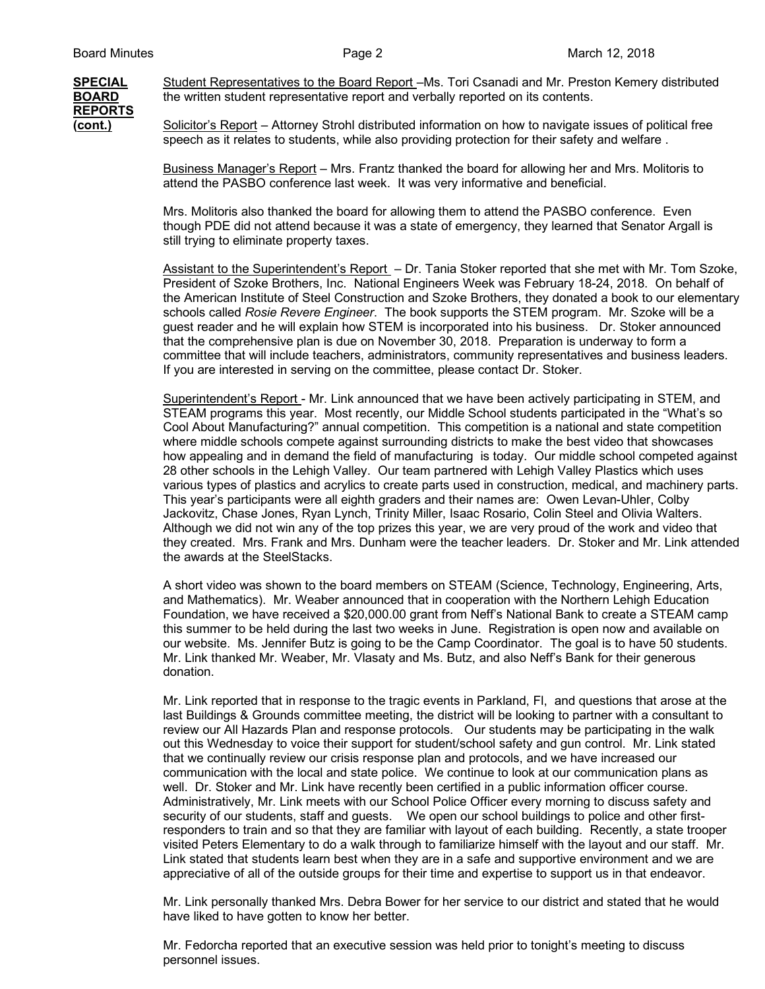# **REPORTS**

**SPECIAL** Student Representatives to the Board Report –Ms. Tori Csanadi and Mr. Preston Kemery distributed **BOARD** the written student representative report and verbally reported on its contents. the written student representative report and verbally reported on its contents.

**(cont.)** Solicitor's Report – Attorney Strohl distributed information on how to navigate issues of political free speech as it relates to students, while also providing protection for their safety and welfare .

> Business Manager's Report – Mrs. Frantz thanked the board for allowing her and Mrs. Molitoris to attend the PASBO conference last week. It was very informative and beneficial.

Mrs. Molitoris also thanked the board for allowing them to attend the PASBO conference. Even though PDE did not attend because it was a state of emergency, they learned that Senator Argall is still trying to eliminate property taxes.

Assistant to the Superintendent's Report – Dr. Tania Stoker reported that she met with Mr. Tom Szoke, President of Szoke Brothers, Inc. National Engineers Week was February 18-24, 2018. On behalf of the American Institute of Steel Construction and Szoke Brothers, they donated a book to our elementary schools called *Rosie Revere Engineer*. The book supports the STEM program. Mr. Szoke will be a guest reader and he will explain how STEM is incorporated into his business. Dr. Stoker announced that the comprehensive plan is due on November 30, 2018. Preparation is underway to form a committee that will include teachers, administrators, community representatives and business leaders. If you are interested in serving on the committee, please contact Dr. Stoker.

Superintendent's Report - Mr. Link announced that we have been actively participating in STEM, and STEAM programs this year. Most recently, our Middle School students participated in the "What's so Cool About Manufacturing?" annual competition. This competition is a national and state competition where middle schools compete against surrounding districts to make the best video that showcases how appealing and in demand the field of manufacturing is today. Our middle school competed against 28 other schools in the Lehigh Valley. Our team partnered with Lehigh Valley Plastics which uses various types of plastics and acrylics to create parts used in construction, medical, and machinery parts. This year's participants were all eighth graders and their names are: Owen Levan-Uhler, Colby Jackovitz, Chase Jones, Ryan Lynch, Trinity Miller, Isaac Rosario, Colin Steel and Olivia Walters. Although we did not win any of the top prizes this year, we are very proud of the work and video that they created. Mrs. Frank and Mrs. Dunham were the teacher leaders. Dr. Stoker and Mr. Link attended the awards at the SteelStacks.

A short video was shown to the board members on STEAM (Science, Technology, Engineering, Arts, and Mathematics). Mr. Weaber announced that in cooperation with the Northern Lehigh Education Foundation, we have received a \$20,000.00 grant from Neff's National Bank to create a STEAM camp this summer to be held during the last two weeks in June. Registration is open now and available on our website. Ms. Jennifer Butz is going to be the Camp Coordinator. The goal is to have 50 students. Mr. Link thanked Mr. Weaber, Mr. Vlasaty and Ms. Butz, and also Neff's Bank for their generous donation.

Mr. Link reported that in response to the tragic events in Parkland, Fl, and questions that arose at the last Buildings & Grounds committee meeting, the district will be looking to partner with a consultant to review our All Hazards Plan and response protocols. Our students may be participating in the walk out this Wednesday to voice their support for student/school safety and gun control. Mr. Link stated that we continually review our crisis response plan and protocols, and we have increased our communication with the local and state police. We continue to look at our communication plans as well. Dr. Stoker and Mr. Link have recently been certified in a public information officer course. Administratively, Mr. Link meets with our School Police Officer every morning to discuss safety and security of our students, staff and guests. We open our school buildings to police and other firstresponders to train and so that they are familiar with layout of each building. Recently, a state trooper visited Peters Elementary to do a walk through to familiarize himself with the layout and our staff. Mr. Link stated that students learn best when they are in a safe and supportive environment and we are appreciative of all of the outside groups for their time and expertise to support us in that endeavor.

Mr. Link personally thanked Mrs. Debra Bower for her service to our district and stated that he would have liked to have gotten to know her better.

Mr. Fedorcha reported that an executive session was held prior to tonight's meeting to discuss personnel issues.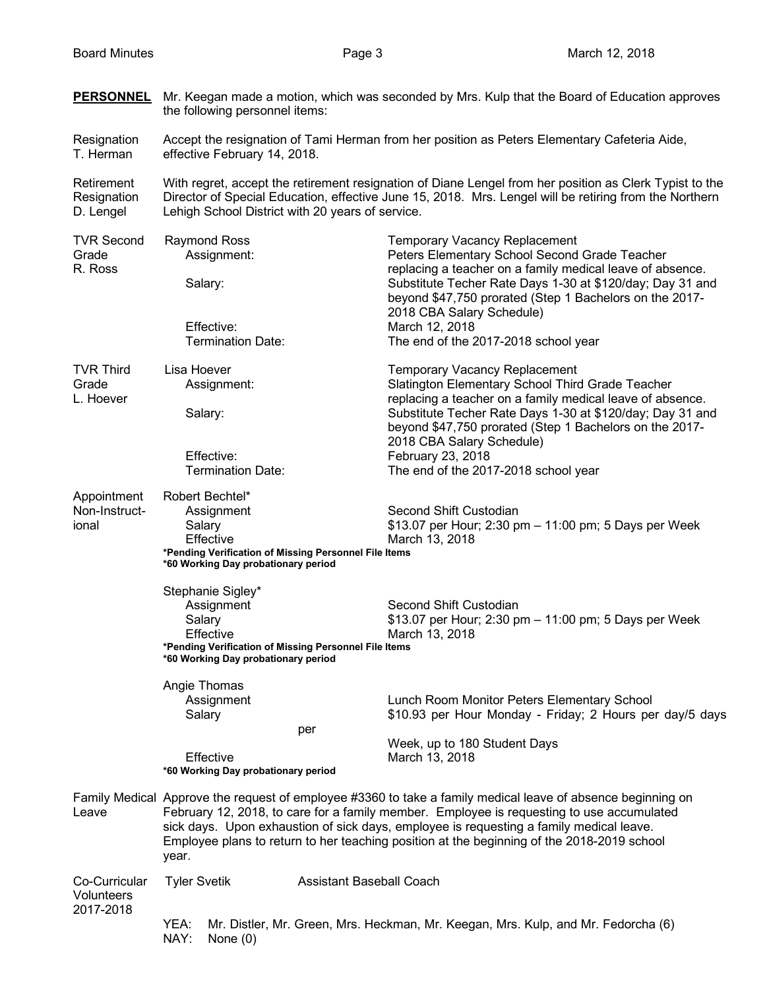**PERSONNEL** Mr. Keegan made a motion, which was seconded by Mrs. Kulp that the Board of Education approves

|                                          | the following personnel items:                                                                                                                                                                                                                                                                                                                                                                             |                                                                                                                                                                                                                                                                                                                                                                         |  |
|------------------------------------------|------------------------------------------------------------------------------------------------------------------------------------------------------------------------------------------------------------------------------------------------------------------------------------------------------------------------------------------------------------------------------------------------------------|-------------------------------------------------------------------------------------------------------------------------------------------------------------------------------------------------------------------------------------------------------------------------------------------------------------------------------------------------------------------------|--|
| Resignation<br>T. Herman                 | Accept the resignation of Tami Herman from her position as Peters Elementary Cafeteria Aide,<br>effective February 14, 2018.                                                                                                                                                                                                                                                                               |                                                                                                                                                                                                                                                                                                                                                                         |  |
| Retirement<br>Resignation<br>D. Lengel   | With regret, accept the retirement resignation of Diane Lengel from her position as Clerk Typist to the<br>Director of Special Education, effective June 15, 2018. Mrs. Lengel will be retiring from the Northern<br>Lehigh School District with 20 years of service.                                                                                                                                      |                                                                                                                                                                                                                                                                                                                                                                         |  |
| <b>TVR Second</b><br>Grade<br>R. Ross    | <b>Raymond Ross</b><br>Assignment:<br>Salary:<br>Effective:<br><b>Termination Date:</b>                                                                                                                                                                                                                                                                                                                    | <b>Temporary Vacancy Replacement</b><br>Peters Elementary School Second Grade Teacher<br>replacing a teacher on a family medical leave of absence.<br>Substitute Techer Rate Days 1-30 at \$120/day; Day 31 and<br>beyond \$47,750 prorated (Step 1 Bachelors on the 2017-<br>2018 CBA Salary Schedule)<br>March 12, 2018<br>The end of the 2017-2018 school year       |  |
| <b>TVR Third</b><br>Grade<br>L. Hoever   | Lisa Hoever<br>Assignment:<br>Salary:<br>Effective:<br><b>Termination Date:</b>                                                                                                                                                                                                                                                                                                                            | <b>Temporary Vacancy Replacement</b><br>Slatington Elementary School Third Grade Teacher<br>replacing a teacher on a family medical leave of absence.<br>Substitute Techer Rate Days 1-30 at \$120/day; Day 31 and<br>beyond \$47,750 prorated (Step 1 Bachelors on the 2017-<br>2018 CBA Salary Schedule)<br>February 23, 2018<br>The end of the 2017-2018 school year |  |
| Appointment<br>Non-Instruct-<br>ional    | Robert Bechtel*<br>Assignment<br>Salary<br>Effective<br>*Pending Verification of Missing Personnel File Items<br>*60 Working Day probationary period                                                                                                                                                                                                                                                       | Second Shift Custodian<br>\$13.07 per Hour; 2:30 pm - 11:00 pm; 5 Days per Week<br>March 13, 2018                                                                                                                                                                                                                                                                       |  |
|                                          | Stephanie Sigley*<br>Assignment<br>Salary<br>Effective<br>*Pending Verification of Missing Personnel File Items<br>*60 Working Day probationary period                                                                                                                                                                                                                                                     | Second Shift Custodian<br>\$13.07 per Hour; 2:30 pm - 11:00 pm; 5 Days per Week<br>March 13, 2018                                                                                                                                                                                                                                                                       |  |
|                                          | Angie Thomas<br>Assignment<br>Salary<br>Effective<br>*60 Working Day probationary period                                                                                                                                                                                                                                                                                                                   | Lunch Room Monitor Peters Elementary School<br>\$10.93 per Hour Monday - Friday; 2 Hours per day/5 days<br>per<br>Week, up to 180 Student Days<br>March 13, 2018                                                                                                                                                                                                        |  |
| Leave                                    | Family Medical Approve the request of employee #3360 to take a family medical leave of absence beginning on<br>February 12, 2018, to care for a family member. Employee is requesting to use accumulated<br>sick days. Upon exhaustion of sick days, employee is requesting a family medical leave.<br>Employee plans to return to her teaching position at the beginning of the 2018-2019 school<br>year. |                                                                                                                                                                                                                                                                                                                                                                         |  |
| Co-Curricular<br>Volunteers<br>2017-2018 | <b>Tyler Svetik</b>                                                                                                                                                                                                                                                                                                                                                                                        | <b>Assistant Baseball Coach</b>                                                                                                                                                                                                                                                                                                                                         |  |
|                                          | YEA:<br>NAY:<br>None $(0)$                                                                                                                                                                                                                                                                                                                                                                                 | Mr. Distler, Mr. Green, Mrs. Heckman, Mr. Keegan, Mrs. Kulp, and Mr. Fedorcha (6)                                                                                                                                                                                                                                                                                       |  |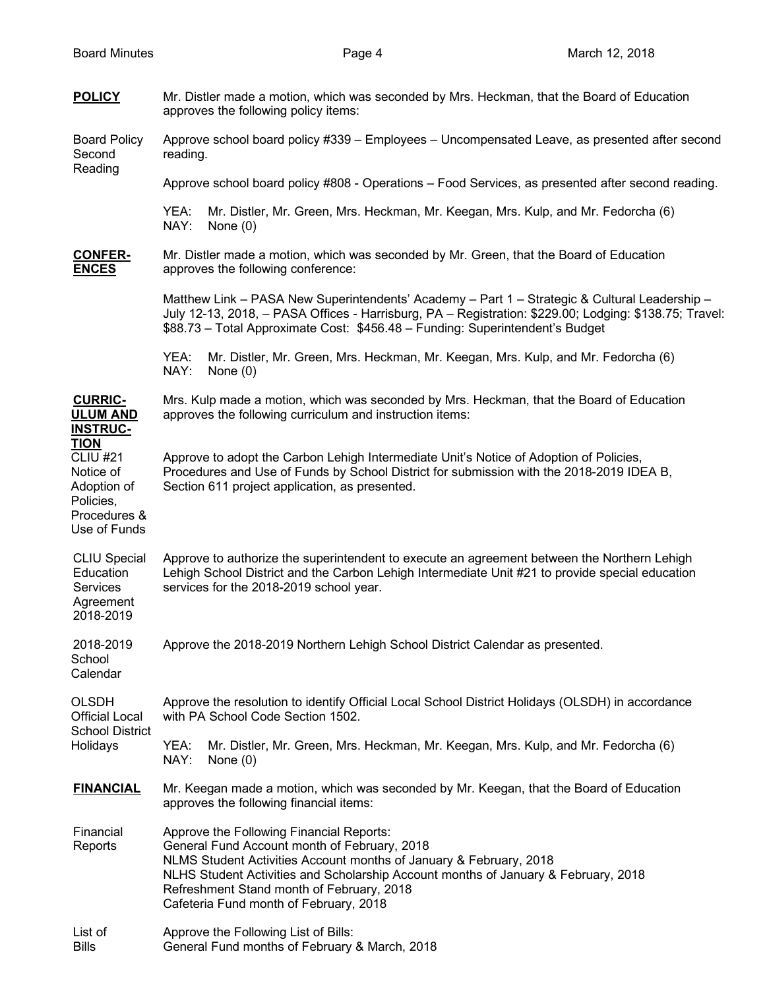| <b>POLICY</b>                                                                                           | Mr. Distler made a motion, which was seconded by Mrs. Heckman, that the Board of Education<br>approves the following policy items:                                                                                                                                                                                                          |  |  |
|---------------------------------------------------------------------------------------------------------|---------------------------------------------------------------------------------------------------------------------------------------------------------------------------------------------------------------------------------------------------------------------------------------------------------------------------------------------|--|--|
| <b>Board Policy</b><br>Second<br>Reading                                                                | Approve school board policy #339 - Employees - Uncompensated Leave, as presented after second<br>reading.                                                                                                                                                                                                                                   |  |  |
|                                                                                                         | Approve school board policy #808 - Operations - Food Services, as presented after second reading.                                                                                                                                                                                                                                           |  |  |
|                                                                                                         | YEA:<br>Mr. Distler, Mr. Green, Mrs. Heckman, Mr. Keegan, Mrs. Kulp, and Mr. Fedorcha (6)<br>NAY:<br>None $(0)$                                                                                                                                                                                                                             |  |  |
| <b>CONFER-</b><br><b>ENCES</b>                                                                          | Mr. Distler made a motion, which was seconded by Mr. Green, that the Board of Education<br>approves the following conference:                                                                                                                                                                                                               |  |  |
|                                                                                                         | Matthew Link - PASA New Superintendents' Academy - Part 1 - Strategic & Cultural Leadership -<br>July 12-13, 2018, - PASA Offices - Harrisburg, PA - Registration: \$229.00; Lodging: \$138.75; Travel:<br>\$88.73 - Total Approximate Cost: \$456.48 - Funding: Superintendent's Budget                                                    |  |  |
|                                                                                                         | Mr. Distler, Mr. Green, Mrs. Heckman, Mr. Keegan, Mrs. Kulp, and Mr. Fedorcha (6)<br>YEA:<br>NAY:<br>None $(0)$                                                                                                                                                                                                                             |  |  |
| <b>CURRIC-</b><br><b>ULUM AND</b><br><b>INSTRUC-</b>                                                    | Mrs. Kulp made a motion, which was seconded by Mrs. Heckman, that the Board of Education<br>approves the following curriculum and instruction items:                                                                                                                                                                                        |  |  |
| <b>TION</b><br><b>CLIU #21</b><br>Notice of<br>Adoption of<br>Policies,<br>Procedures &<br>Use of Funds | Approve to adopt the Carbon Lehigh Intermediate Unit's Notice of Adoption of Policies,<br>Procedures and Use of Funds by School District for submission with the 2018-2019 IDEA B,<br>Section 611 project application, as presented.                                                                                                        |  |  |
| <b>CLIU Special</b><br>Education<br>Services<br>Agreement<br>2018-2019                                  | Approve to authorize the superintendent to execute an agreement between the Northern Lehigh<br>Lehigh School District and the Carbon Lehigh Intermediate Unit #21 to provide special education<br>services for the 2018-2019 school year.                                                                                                   |  |  |
| 2018-2019<br>School<br>Calendar                                                                         | Approve the 2018-2019 Northern Lehigh School District Calendar as presented.                                                                                                                                                                                                                                                                |  |  |
| <b>OLSDH</b><br><b>Official Local</b><br><b>School District</b><br>Holidays                             | Approve the resolution to identify Official Local School District Holidays (OLSDH) in accordance<br>with PA School Code Section 1502.                                                                                                                                                                                                       |  |  |
|                                                                                                         | YEA:<br>Mr. Distler, Mr. Green, Mrs. Heckman, Mr. Keegan, Mrs. Kulp, and Mr. Fedorcha (6)<br>NAY:<br>None $(0)$                                                                                                                                                                                                                             |  |  |
| <b>FINANCIAL</b>                                                                                        | Mr. Keegan made a motion, which was seconded by Mr. Keegan, that the Board of Education<br>approves the following financial items:                                                                                                                                                                                                          |  |  |
| Financial<br>Reports                                                                                    | Approve the Following Financial Reports:<br>General Fund Account month of February, 2018<br>NLMS Student Activities Account months of January & February, 2018<br>NLHS Student Activities and Scholarship Account months of January & February, 2018<br>Refreshment Stand month of February, 2018<br>Cafeteria Fund month of February, 2018 |  |  |
| List of<br><b>Bills</b>                                                                                 | Approve the Following List of Bills:<br>General Fund months of February & March, 2018                                                                                                                                                                                                                                                       |  |  |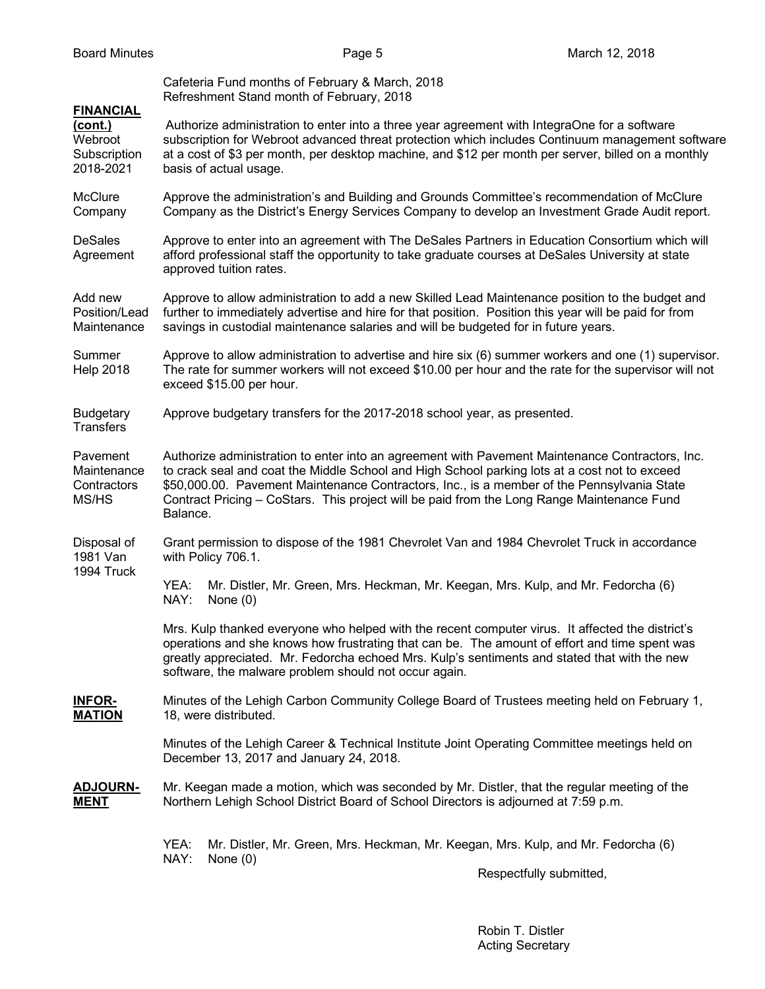# Cafeteria Fund months of February & March, 2018 Refreshment Stand month of February, 2018

## **FINANCIAL**

**(cont.)** Authorize administration to enter into a three year agreement with IntegraOne for a software Webroot subscription for Webroot advanced threat protection which includes Continuum management software Subscription at a cost of \$3 per month, per desktop machine, and \$12 per month per server, billed on a monthly 2018-2021 basis of actual usage.

McClure Approve the administration's and Building and Grounds Committee's recommendation of McClure Company Company as the District's Energy Services Company to develop an Investment Grade Audit report.

DeSales Approve to enter into an agreement with The DeSales Partners in Education Consortium which will Agreement afford professional staff the opportunity to take graduate courses at DeSales University at state approved tuition rates.

Add new Approve to allow administration to add a new Skilled Lead Maintenance position to the budget and Position/Lead further to immediately advertise and hire for that position. Position this year will be paid for from Maintenance savings in custodial maintenance salaries and will be budgeted for in future years.

Summer Approve to allow administration to advertise and hire six (6) summer workers and one (1) supervisor. Help 2018 The rate for summer workers will not exceed \$10.00 per hour and the rate for the supervisor will not exceed \$15.00 per hour.

Budgetary Approve budgetary transfers for the 2017-2018 school year, as presented. **Transfers** 

Pavement Authorize administration to enter into an agreement with Pavement Maintenance Contractors, Inc. Maintenance to crack seal and coat the Middle School and High School parking lots at a cost not to exceed Contractors \$50,000.00. Pavement Maintenance Contractors, Inc., is a member of the Pennsylvania State MS/HS Contract Pricing – CoStars. This project will be paid from the Long Range Maintenance Fund Balance.

Disposal of Grant permission to dispose of the 1981 Chevrolet Van and 1984 Chevrolet Truck in accordance 1981 Van with Policy 706.1. 1994 Truck

> YEA: Mr. Distler, Mr. Green, Mrs. Heckman, Mr. Keegan, Mrs. Kulp, and Mr. Fedorcha (6) NAY: None (0)

Mrs. Kulp thanked everyone who helped with the recent computer virus. It affected the district's operations and she knows how frustrating that can be. The amount of effort and time spent was greatly appreciated. Mr. Fedorcha echoed Mrs. Kulp's sentiments and stated that with the new software, the malware problem should not occur again.

**INFOR-** Minutes of the Lehigh Carbon Community College Board of Trustees meeting held on February 1, **MATION** 18, were distributed.

> Minutes of the Lehigh Career & Technical Institute Joint Operating Committee meetings held on December 13, 2017 and January 24, 2018.

**ADJOURN-** Mr. Keegan made a motion, which was seconded by Mr. Distler, that the regular meeting of the **MENT** Northern Lehigh School District Board of School Directors is adjourned at 7:59 p.m.

> YEA: Mr. Distler, Mr. Green, Mrs. Heckman, Mr. Keegan, Mrs. Kulp, and Mr. Fedorcha (6) NAY: None (0)

Respectfully submitted,